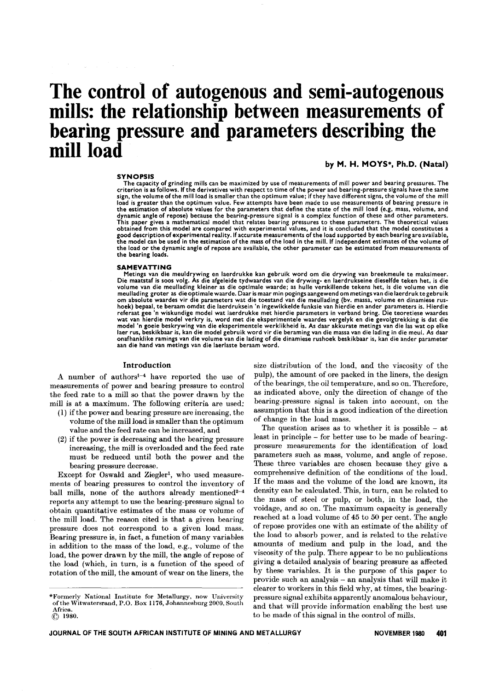# **The control of autogenous and semi-autogenous mills: the relationship between measurements of bearing pressure and parameters describing the** mill load

#### **SYNOPSIS**

by M. H. MOYS\*. Ph.D. (Natal)

The capacity of grinding mills can be maximized by use of measurements of mill power and bearing pressures. The<br>criterion is as follows. If the derivatives with respect to time of the power and bearing-pressure signals hav load is greater than the optimum value. Few attempts have been made to use measurements of bearing pressure in the estimation of absolute values for the parameters that define the state of the mill load (e.g, mass, volume, and dynamic angle of repose) because the bearing-pressure signal is a complex function of these and other parameters. This paper gives a mathematical model that relates bearing pressures to these parameters. The theoretical values<br>obtained from this model are compared with experimental values, and it is concluded that the model constitute good description of experimental reality. If accurate measurements of the load supported by each bearing are available, the model can be used in the estimation of the mass of the load in the mill. If independent estimates of the volume of the load or the dynamic angle of repose are available, the other parameter can be estimated from measurements of the bearing loads.

#### SAMEVATTING

Metings van die meuldrywing en laerdrukke kan gebruik word om die drywing van breekmeule te maksimeer. Die maatstaf is soos volg. As die afgeleide tydwaardes van die drywing- en laerdrukseine dieselfde teken het, is die<br>volume van die meullading kleiner as die optimale waarde; as hulle verskillende tekens het, is die volume om absolute waardes vir die parameters wat die toestand van die meullading (bv. massa, volume en dinamiese rushoek) bepaal, te beraam omdat die laerdruksein 'n ingewikkelde funksie van hierdie en ander parameters is. Hierdi<br>referaat gee 'n wiskundige model wat laerdrukke met hierdie parameters in verband bring. Die teoretiese waar wat van hierdie model verkry is, word met die eksperimentele waardes vergelyk en die gevolgtrekking is dat die model 'n goeie beskrywing van die eksperimentele werklikheid is. As daar akkurate metings van die las wat op elke laer rus, beskikbaar is, kan die model gebruik word vir die beraming van die massa van die lading in die meul. As daar onafhanklike ramings van die volume van die lading of die dinamiese rushoek beskikbaar is, kan die ander parameter aan die hand van metings van die laerlaste beraam word.

#### Introduction

A number of authorsl-4 have reported the use of measurements of power and bearing pressure to control the feed rate to a mill so that the power drawn by the mill is at a maximum. The following criteria are used:

- (1) if the power and bearing pressure are increasing, the volume of the mill load is smaller than the optimum value and the feed rate can be increased, and
- (2) if the power is decreasing and the bearing pressure increasing, the mill is overloaded and the feed rate must be reduced until both the power and the bearing pressure decrease.

Except for Oswald and Ziegler<sup>1</sup>, who used measurements of bearing pressures to control the inventory of ball mills, none of the authors already mentioned<sup>2-4</sup> reports any attempt to use the bearing-pressure signal to obtain quantitative estimates of the mass or volume of the mill load. The reason cited is that a given bearing pressure does not correspond to a given load mass. Bearing pressure is, in fact, a function of many variables in addition to the mass of the load, e.g., volume of the load, the power drawn by the mill, the angle of repose of the load (which, in turn, is a function of the speed of rotation of the mill, the amount of wear on the liners, the

size distribution of the load, and the viscosity of the pulp), the amount of ore packed in the liners, the design of the bearings, the oil temperature, and so on. Therefore, as indicated above, only the direction of change of the bearing-pressure signal is taken into account, on the assumption that this is a good indication of the direction of change in the load mass.

The question arises as to whether it is possible  $-$  at least in principle - for better use to be made of bearingpressure measurements for the identification of load parameters such as mass, volume, and angle of repose. These three variables are chosen because they give a comprehensive definition of the conditions of the load. If the mass and the volume of the load are known, its density can be calculated. This, in turn, can be related to the mass of steel or pulp, or both, in the load, the voidage, and so on. The maximum capacity is generally reached at a load volume of 45 to 50 per cent. The angle of repose provides one with an estimate of the ability of the load to absorb power, and is related to the relative amounts of medium and pulp in the load, and the viscosity of the pulp. There appear to be no publications giving a detailed analysis of bearing pressure as affected by these variables. It is the purpose of this paper to provide such an analysis - an analysis that will make it clearer to workers in this field why, at times, the bearingpressure signal exhibits apparently anomalous behaviour, and that will provide information enabling the best use to be made of this signal in the control of mills.

<sup>\*</sup>Formerly National Institute for Metallurgy, now University of the Witwatersrand, P.O. Box 1176, Johannesburg 2000, South Africa. @ 1980.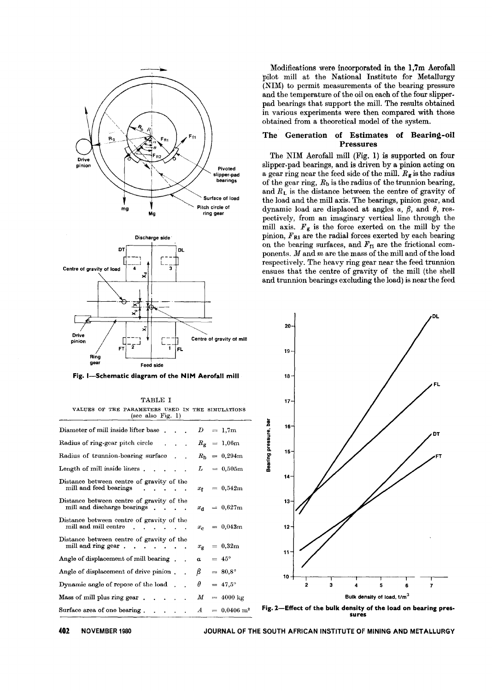

(see also Fig. l) Diameter of mill inside lifter base  $\sum_{i=1}^{n}$ 1,7m Radius of ring-gear pitch circle  $R_g$  $= 1,06m$ Radius of trunnion-bearing surface 0,294m  $R<sub>b</sub>$ Length of mill inside liners. 0,505m  $L$ Distance between centre of gravity of the mill and feed bearings 0,542m  $\mathcal{L}(\mathbf{z})$  , and  $\mathcal{L}(\mathbf{z})$  $x_{\mathbf{f}}$  = Distance between centre of gravity of the mill and discharge bearings. 0,627m  $x_{d}$  = Distance between centre of gravity of the mill and mill centre  $\cdot \cdot \cdot$ 0,043m *Xc* -  $\blacksquare$ Distance between centre of gravity of the mill and ring gear  $\ldots$   $\ldots$   $\ldots$ 0,32m  $x_{\rm g}$  = Angle of displacement of mill bearing.  $45^\circ$ Angle of displacement of drive pinion. *fJ* =  $= 80.8^{\circ}$ Dynamic angle of repose of the load  $\theta = 47.5^{\circ}$ Mass of mill plus ring gear. *M* =  $= 4000 \text{ kg}$  $\mathbf{1}$  and  $\mathbf{1}$  and  $\mathbf{1}$ Surface area of one bearing.  $A = 0,0406 \text{ m}^2$ **Contract Contract Contract** 

Modifications were incorporated in the 1,7m Aerofall pilot mill at the National Institute for Metallurgy (NIM) to permit measurements of the bearing pressure and the temperature of the oil on each of the four slipperpad bearings that support the mill. The results obtained in various experiments were then compared with those obtained from a theoretical model of the system.

#### The Generation of Estimates of Bearing-oil Pressures

The NIM Aerofall mill (Fig. 1) is supported on four slipper-pad bearings, and is driven by a pinion acting on a gear ring near the feed side of the mill.  $R_g$  is the radius of the gear ring,  $R<sub>b</sub>$  is the radius of the trunnion bearing, and  $R_L$  is the distance between the centre of gravity of the load and the mill axis. The bearings, pinion gear, and dynamic load are displaced at angles  $\alpha$ ,  $\beta$ , and  $\theta$ , respectively, from an imaginary vertical line through the mill axis.  $F_g$  is the force exerted on the mill by the pinion,  $F_{\text{R1}}$  are the radial forces exerted by each bearing on the bearing surfaces, and  $F_{f1}$  are the frictional components. *M* and *m* are the mass of the mill and of the load respectively. The heavy ring gear near the feed trunnion ensues that the centre of gravity of the mill (the shell and trunnion bearings excluding the load) is near the feed





402 NOVEMBER 1980 JOURNAL OF THE SOUTH AFRICAN INSTITUTE OF MINING AND METALLURGY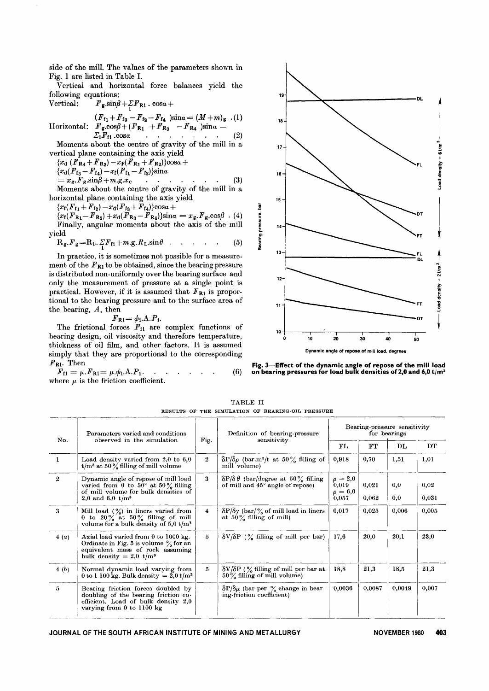side of the mill. The values of the parameters shown in Fig. 1 are listed in Table I.

Vertical and horizontal force balances yield the following equations:

Vertical:  $F_{g} \sin\beta + \Sigma F_{R1} \cos\alpha +$ 

$$
(F_{f_1} + F_{f_3} - F_{f_2} - F_{f_4})\sin\alpha = (M+m)_{g}
$$
 (1)

Horizontal:  $F_g \cos\beta + (F_{R_1} + F_{R_3} - F_{R_4})\sin\alpha = \sum_i F_{f1} \cos\alpha$ l: . . . . . . (2)

Moments about the centre of gravity of the mill in a vertical plane containing the axis yield

 ${x<sub>d</sub> (F<sub>R4</sub> + F<sub>R3</sub>) - x<sub>F</sub>(F<sub>R1</sub> + F<sub>R2</sub>)}cosa +$  ${x_d}(F_{13} - F_{14}) - x_f(F_{f_1} - F_{f_2})\sin\alpha$  $= x_g. F_g. \sin\beta + m. g. x_c$  (3) Moments about the centre of gravity of the mill in a

horizontal plane containing the axis yield

 ${x<sub>f</sub>(F<sub>f1</sub> + F<sub>f2</sub>) - x<sub>d</sub>(F<sub>f3</sub> + F<sub>f4</sub>)}cosa +$ 

 ${x_1(F_{R_1}-F_{R_2})+x_0(F_{R_3}-F_{R_4})\sin\alpha} = x_g.F_g.\cos\beta$ . (4) Finally, angular moments about the axis of the mill yield

$$
R_g.F_g = R_b.\, \Sigma F_{f1} + m.g. R_L.\sin\theta \quad . \quad . \quad . \quad . \tag{5}
$$

In practice, it is sometimes not possible for a measurement of the  $F_{R1}$  to be obtained, since the bearing pressure is distributed non-uniformly over the bearing surface and only the measurement of pressure at a single point is practical. However, if it is assumed that  $F_{\text{R1}}$  is proportional to the bearing pressure and to the surface area of the bearing, *A,* then

$$
F_{\rm R1} = \psi_{\rm 1.} \Lambda.P_{\rm 1.}
$$

The frictional forces  $F_{f1}$  are complex functions of bearing design, oil viscosity and therefore temperature, thickness of oil film, and other factors. It is assumed simply that they are proportional to the corresponding  $F_{R1}$ . Then

 $\ddot{F}_{\text{f1}} = \mu \cdot \dot{F}_{\text{R1}} = \mu \cdot \dot{\psi}_{1} \cdot \dot{\text{A}} \cdot \dot{P}_{1} \cdot \quad .$ where  $\mu$  is the friction coefficient. (6)





TABLE II RESULTS OF THE SIMULATION OF BEARING-OIL PRESSURE

| No.            | Parameters varied and conditions<br>observed in the simulation                                                                                              | Fig.                     | Definition of bearing-pressure<br>sensitivity                                                     | Bearing pressure sensitivity<br>for bearings   |                |            |                        |
|----------------|-------------------------------------------------------------------------------------------------------------------------------------------------------------|--------------------------|---------------------------------------------------------------------------------------------------|------------------------------------------------|----------------|------------|------------------------|
|                |                                                                                                                                                             |                          |                                                                                                   | FL                                             | FT             | DL         | $\overline{\text{DT}}$ |
| $\mathbf{1}$   | Load density varied from $2,0$ to $6,0$<br>$t/m^3$ at 50 % filling of mill volume                                                                           | $\overline{2}$           | $\delta P/\delta \rho$ (bar.m <sup>3</sup> /t at 50% filling of<br>mill volume)                   | 0,918                                          | 0,70           | 1,51       | 1,01                   |
| $\overline{2}$ | Dynamic angle of repose of mill load<br>varied from $0$ to $50^{\circ}$ at $50\%$ filling<br>of mill volume for bulk densities of<br>2,0 and 6,0 $t/m^3$    | 3                        | $\delta P/\delta \theta$ (bar/degree at 50% filling)<br>of mill and $45^{\circ}$ angle of repose) | $\rho = 2.0$<br>0,019<br>$\rho = 6.0$<br>0,057 | 0,021<br>0.062 | 0,0<br>0,0 | 0.02<br>0,031          |
| 3              | Mill load $\binom{9}{0}$ in liners varied from<br>0 to $20\%$ at $50\%$ filling of mill<br>volume for a bulk density of $5.0 t/m^3$                         | $\overline{4}$           | $\delta P/\delta y$ (bar/% of mill load in liners<br>at $50\%$ filling of mill)                   | 0,017                                          | 0,025          | 0.006      | 0,005                  |
| 4(a)           | Axial load varied from 0 to 1000 kg.<br>Ordinate in Fig. 5 is volume $\%$ for an<br>equivalent mass of rock assuming<br>bulk density = 2,0 t/m <sup>3</sup> | 5                        | $\delta V/\delta P$ (% filling of mill per bar)                                                   | 17.6                                           | 20.0           | 20.1       | 23,0                   |
| 4(b)           | Normal dynamic load varying from<br>0 to 1 100 kg. Bulk density $= 2.0$ t/m <sup>3</sup>                                                                    | 5                        | $\delta V/\delta P$ (% filling of mill per bar at<br>$50\%$ filling of mill volume)               | 18,8                                           | 21,3           | 18,5       | 21,3                   |
| 5              | Bearing friction forces doubled by<br>doubling of the bearing friction co-<br>efficient. Load of bulk density 2,0<br>varying from $0$ to $1100$ kg          | $\overline{\phantom{a}}$ | $\delta P/\delta \mu$ (bar per % change in bear-<br>ing-friction coefficient)                     | 0.0036                                         | 0,0087         | 0,0049     | 0,007                  |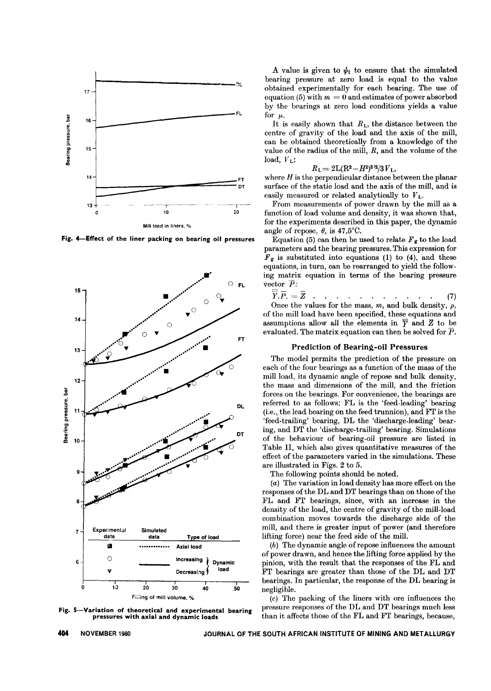

Fig. 4-Effect of the liner packing on bearing oil pressures



Fig. 5-Variation of theoretical and experimental bearing pressures with axial and dynamic loads

A value is given to  $\psi_1$  to ensure that the simulated bearing pressure at zero load is equal to the value obtained experimentally for each bearing. The use of equation (5) with  $m = 0$  and estimates of power absorbed by the bearings at zero load conditions yields a value for  $\mu$ .

It is easily shown that  $R_L$ , the distance between the centre of gravity of the load and the axis of the mill, can be obtained theoretically from a knowledge of the value of the radius of the mill, *R,* and the volume of the load,  $V_L$ :

$$
R_{\rm L}\!\!=2{\rm L}({\rm R}^2\!-\!H^2)^{3/2}\!/3\,V_{\rm L},
$$

where *H* is the perpendicular distance between the planar surface of the static load and the axis of the mill, and is easily measured or related analytically to *V* L.

From measurements of power drawn by the mill as a function of load volume and density, it was shown that, for the experiments described in this paper, the dynamic angle of repose,  $\theta$ , is 47,5°C.

Equation (5) can then be used to relate  $F_g$  to the load parameters and the bearing pressures. This expression for  $F<sub>g</sub>$  is substituted into equations (1) to (4), and these equations, in turn, can be rearranged to yield the following matrix equation in terms of the bearing pressure vector  $\overline{P}$ .

$$
\overline{Y}.\overline{P}.\equiv \overline{Z} \qquad (1) \qquad (2)
$$

Once the values for the mass, *m,* and bulk density, *p,* of the mill load have been specified, these equations and assumptions allow all the elements in  $\overline{y}$  and  $\overline{z}$  to be evaluated. The matrix equation can then be solved for *P.*

## Prediction of Bearing-oil Pressures

The model permits the prediction of the pressure on each of the four bearings as a function of the mass of the mill load, its dynamic angle of repose and bulk density, the mass and dimensions of the mill, and the friction forces on the bearings. For convenience, the bearings are referred to as follows: FL is the 'feed-leading' bearing (Le., the lead bearing on the feed trunnion), and FT is the 'feed-trailing' bearing, DL the 'discharge-leading' bearing, and DT the 'discharge-trailing' bearing. Simulations of the behaviour of bearing-oil pressure are listed in Table II, which also gives quantitative measures of the effect of the parameters varied in the simulations. These are illustrated in Figs. 2 to 5.

The following points should be noted.

*(a)* The variation in load density has more effect on the responses of the DL and DT bearings than on those of the FL and FT bearings, since, with an increase in the density of the load, the centre of gravity of the mill-load combination moves towards the discharge side of the mill, and there is greater input of power (and therefore lifting force) near the feed side of the mill.

*(b)* The dynamic angle of repose influences the amount of power drawn, and hence the lifting force applied by the pinion, with the result that the responses of the FL and FT bearings are greater than those of the DL and DT bearings. In particular, the response of the DL bearing is negligible.

*(c)* The packing of the liners with ore influences the pressure responses of the DL and DT bearings much less than it affects those of the FL and FT bearings, because,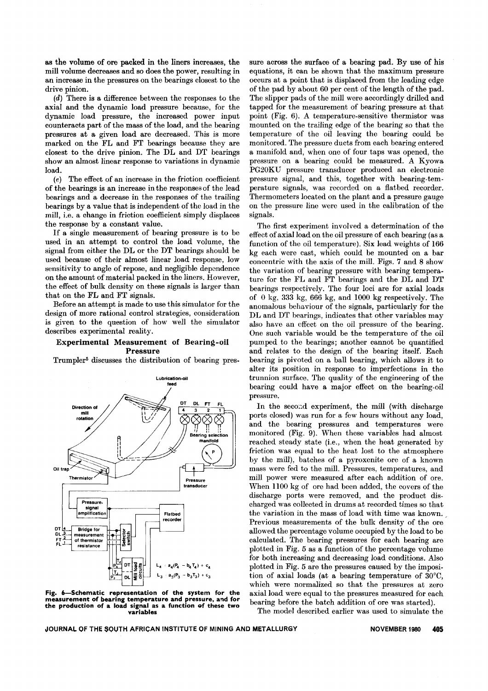as the volume of ore packed in the liners increases, the mill volume decreases and so does the power, resulting in an increase in the pressures on the bearings closest to the drive pinion.

*(d)* There is a difference between the responses to the axial and the dynamic load pressure because, for the dynamic load pressure, the increased power input counteracts part of the mass of the load, and the bearing pressures at a given load are decreased. This is more marked on the FL and FT bearings because they are closest to the drive pinion. The DL and DT bearings show an almost linear response to variations in dynamic load.

*(e)* The effect of an increase in the friction coefficient of the bearings is an increase in the responses of the lead bearings and a decrease in the responses of the trailing bearings by a value that is independent of the load in the mill, i.e. a change in friction coefficient simply displaces the response by a constant value.

If a single measurement of bearing pressure is to be used in an attempt to control the load volume, the signal from either the DL or the DT bearings should be used because of their almost linear load response, low sensitivity to angle of repose, and negligible dependence on the amount of material packed in the liners. However, the effect of bulk density on these signals is larger than that on the FL and FT signals.

Before an attempt is made to use this simulator for the design of more rational control strategies, consideration is given to the question of how well the simulator describes experimental reality.

## Experimental Measurement of Bearing-oil Pressure

Trumpler5 discusses the distribution of bearing pres-



Fig. 6-Schematic representation of the system for the measurement of bearing temperature and pressure, and for the production of a load signal as a function of these two variables

sure across the surface of a bearing pad. By use of his equations, it can be shown that the maximum pressure occurs at a point that is displaced from the leading edge of the pad by about 60 per cent of the length of the pad. The slipper pads of the mill were accordingly drilled and tapped for the measurement of bearing pressure at that point (Fig. 6). A temperature-sensitive thermistor was mounted on the trailing edge of the bearing so that the temperature of the oil leaving the bearing could be monitored. The pressure ducts from each bearing entered a manifold and, when one of four taps was opened, the pressure on a bearing could be measured. A Kyowa PG20KU pressure transducer produced an electronic pressure signal, and this, together with bearing-temperature signals, was recorded on a flatbed recorder. Thermometers located on the plant and a pressure gauge on the pressure line were used in the ealibration of the signals.

The first experiment involved a determination of the effect of axial load on the oil pressure of each bearing (as a function of the oil temperature). Six lead weights of 166 kg each were east, which could be mounted on a bar concentric with the axis of the mill. Figs. 7 and 8 show the variation of bearing pressure with bearing temperature for the FL and FT bearings and the DL and DT bearings respectively. The four loci are for axial loads of 0 kg, 333 kg, 666 kg, and 1000 kg respectively. The anomalous behaviour of the signals, particularly for the DL and DT bearings, indicates that other variables may also have an effect on the oil pressure of the bearing. One such variable would be the temperature of the oil pumped to the bearings; another cannot be quantified and relates to the design of the bearing itself. Each bearing is pivoted on a ball bearing, which allows it to alter its position in response to imperfections in the trunnion surface. The quality of the engineering of the bearing could have a major effect on the bearing-oil pressure.

In the second experiment, the mill (with discharge ports closed) was run for a few hours without any load, and the bearing pressures and temperatures were monitored (Fig. 9). When these variables had almost reached steady state (i.e., when the heat generated by friction was equal to the heat lost to the atmosphere by the mill), batches of a pyroxenite ore of a known mass were fed to the mill. Pressures, temperatures, and mill power were measured after each addition of ore. When lIOO kg of ore had been added, the covers of the discharge ports were removed, and the product discharged was collected in drums at recorded times so that the variation in the mass of load with time was known. Previous measurements of the bulk density of the ore allowed the percentage volume occupied by the load to be calculated. The bearing pressures for each bearing are plotted in Fig. 5 as a function of the percentage volume for both increasing and decreasing load conditions. Also plotted in Fig. 5 are the pressures caused by the imposition of axial loads (at a bearing temperature of 30°C, which were normalized so that the pressures at zero axial load were equal to the pressures measured for each bearing before the batch addition of ore was started).

The model described earlier was used to simulate the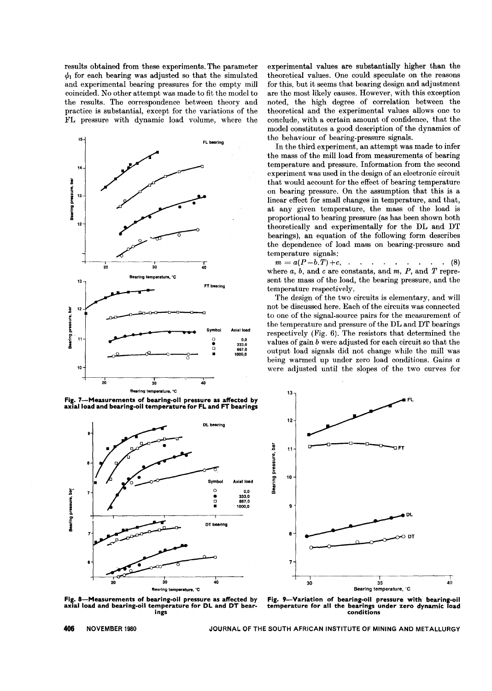results obtained from these experiments. The parameter  $\psi_1$  for each bearing was adjusted so that the simulated and experimental bearing pressures for the empty mill coincided. No other attempt was made to fit the model to the results. The correspondence between theory and practice is substantial, except for the variations of the FL pressure with dynamic load volume, where the



Fig. 7-Measurements of bearing-oil pressure as affected by axial load and bearing-oil temperature for **FL** and FT bearings



Fig. 8-Measurements of bearing-oil pressure as affected by axial load and bearing-oil temperature for **DL** and **DT** bearings

experimental values are substantially higher than the theoretical values. One could speculate on the reasons for this, but it seems that bearing design and adjustment are the most likely causes. However, with this exception noted, the high degree of correlation between the theoretical and the experimental values allows one to conclude, with a certain amount of confidence, that the model constitutes a good description of the dynamics of the behaviour of bearing-pressure signals.

In the third experiment, an attempt was made to infer the mass of the mill load from measurements of bearing temperature and pressure. Information from the second experiment was used in the design of an electronic circuit that would account for the effect of bearing temperature on bearing pressure. On the assumption that this is a linear effect for small changes in temperature, and that, at any given temperature, the mass of the load is proportional to bearing pressure (as has been shown both theoretically and experimentally for the DL and DT bearings), an equation of the following form describes the dependence of load mass on bearing-pressure and temperature signals;

 $m = a(P-b,T) + c,$  (8) where *a, b,* and *c* are constants, and *m, P,* and *T* represent the mass of the load, the bearing pressure, and the temperature respectively.

The design of the two circuits is elementary, and will not be discussed here. Each of the circuits was connected to one of the signal-source pairs for the measurement of the temperature and pressure of the DL and DT bearings respectively (Fig. 6). The resistors that determined the values of gain *b* were adjusted for each circuit so that the output load signals did not change while the mill was being warmed up under zero load conditions. Gains *a* were adjusted until the slopes of the two curves for



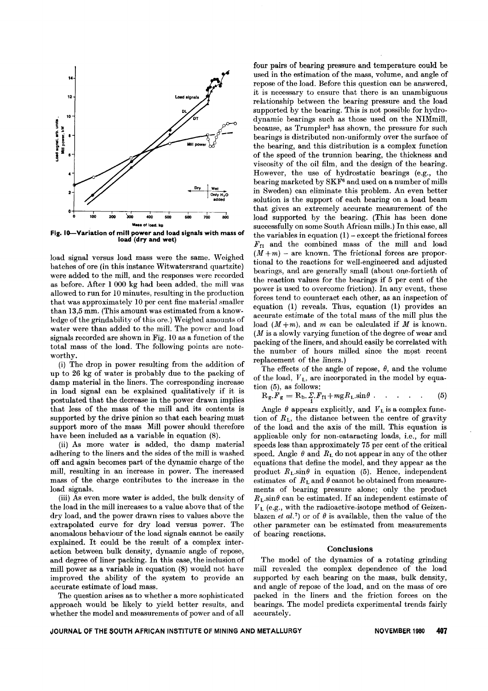

Fig. IO--Variation of mill power and load signals with mass of load (dry and wet)

load signal versus load mass were the same. Weighed batches of ore (in this instance Witwatersrand quartzite) were added to the mill, and the responses were recorded as before. After 1 000 kg had been added, the mill was allowed to run for 10 minutes, resulting in the production that was approximately 10 per cent fine material smaller than 13,5 mm. (This amount was estimated from a knowledge of the grindability of this ore.) Weighed amounts of water were than added to the mill. The power and load signals recorded are shown in Fig. 10 as a function of the total mass of the load. The following points are noteworthy.

(i) The drop in power resulting from the addition of up to 26 kg of water is probably due to the packing of damp material in the liners. The corresponding increase in load signal can be explained qualitatively if it is postulated that the decrease in the power drawn implies that less of the mass of the mill and its contents is supported by the drive pinion so that each bearing must support more of the mass Mill power should therefore have been included as a variable in equation (8).

(ii) As more water is added, the damp material adhering to the liners and the sides of the mill is washed off and again becomes part of the dynamic charge of the mill, resulting in an increase in power. The increased mass of the charge contributes to the increase in the load signals.

(iii) As even more water is added, the bulk density of the load in the mill increases to a value above that of the dry load, and the power drawn rises to values above the extrapolated curve for dry load versus power. The anomalous behaviour of the load signals cannot be easily explained. It could be the result of a complex interaction between bulk density, dynamic angle of repose, and degree of liner packing. In this case, the inclusion of mill power as a variable in equation (8) would not have improved the ability of the system to provide an accurate estimate of load mass.

The question arises as to whether a more sophisticated approach would be likely to yield better results, and whether the model and measurements of power and of all four pairs of bearing pressure and temperature could be used in the estimation of the mass, volume, and angle of repose of the load. Before this question can be answered, it is necessary to ensure that there is an unambiguous relationship between the bearing pressure and the load supported by the bearing. This is not possible for hydrodynamic bearings such as those used on the NIMmill, because, as Trumpler5 has shown, the pressure for such bearings is distributed non-uniformly over the surface of the bearing, and this distribution is a complex function of the speed of the trunnion bearing, the thickness and viscosity of the oil film, and the design of the bearing. However, the use of hydrostatic bearings (e.g., the bearing marketed by SKF6 and used on a number of mills in Sweden) can eliminate this problem. An even better solution is the support of each bearing on a load beam that gives an extremely accurate measurement of the load supported by the bearing. (This has been done successfully on some South African mills.) In this case, all the variables in equation  $(1)$  – except the frictional forces *FfI* and the combined mass of the mill and load  $(M+m)$  – are known. The frictional forces are proportional to the reactions for well-engineered and adjusted bearings, and are generally small (about one-fortieth of the reaction values for the bearings if 5 per cent of the power is used to overcome friction). In any event, these forces tend to counteract each other, as an inspection of equation (1) reveals. Thus, equation (1) provides an accurate estimate of the total mass of the mill plus the load  $(M+m)$ , and *m* can be calculated if *M* is known.  $(M \text{ is a slowly varying function of the degree of wear and}$ packing of the liners, and should easily be correlated with the number of hours milled since the m9st recent replacement of the liners.)

The effects of the angle of repose,  $\theta$ , and the volume of the load, *V* L, are incorporated in the model by equation (5), as follows:

$$
R_g.F_g = R_b.\Sigma.F_{f1} + mgR_L.\sin\theta . \quad . \quad . \quad . \tag{5}
$$

Angle  $\theta$  appears explicitly, and  $V_L$  is a complex function of  $R_{\rm L}$ , the distance between the centre of gravity of the load and the axis of the mill. This equation is applicable only for non-cataracting loads, i.e., for mill speeds less than approximately 75 per cent of the critical speed. Angle  $\theta$  and  $R_L$  do not appear in any of the other equations that define the model, and they appear as the product  $R_L \sin\theta$  in equation (5). Hence, independent estimates of  $R_L$  and  $\theta$  cannot be obtained from measurements of bearing pressure alone; only the product  $R_L$ sin $\theta$  can be estimated. If an independent estimate of *V* L (e.g., with the radioactive-isotope method of Geizenblazen *et al.*<sup>7</sup>) or of  $\theta$  is available, then the value of the other parameter can be estimated from measurements of bearing reactions.

#### Conclusions

The model of the dynamics of a rotating grinding mill revealed the complex dependence of the load supported by each bearing on the mass, bulk density, and angle of repose of the load, and on the mass of ore packed in the liners and the friction forces on the bearings. The model predicts experimental trends fairly accurately.